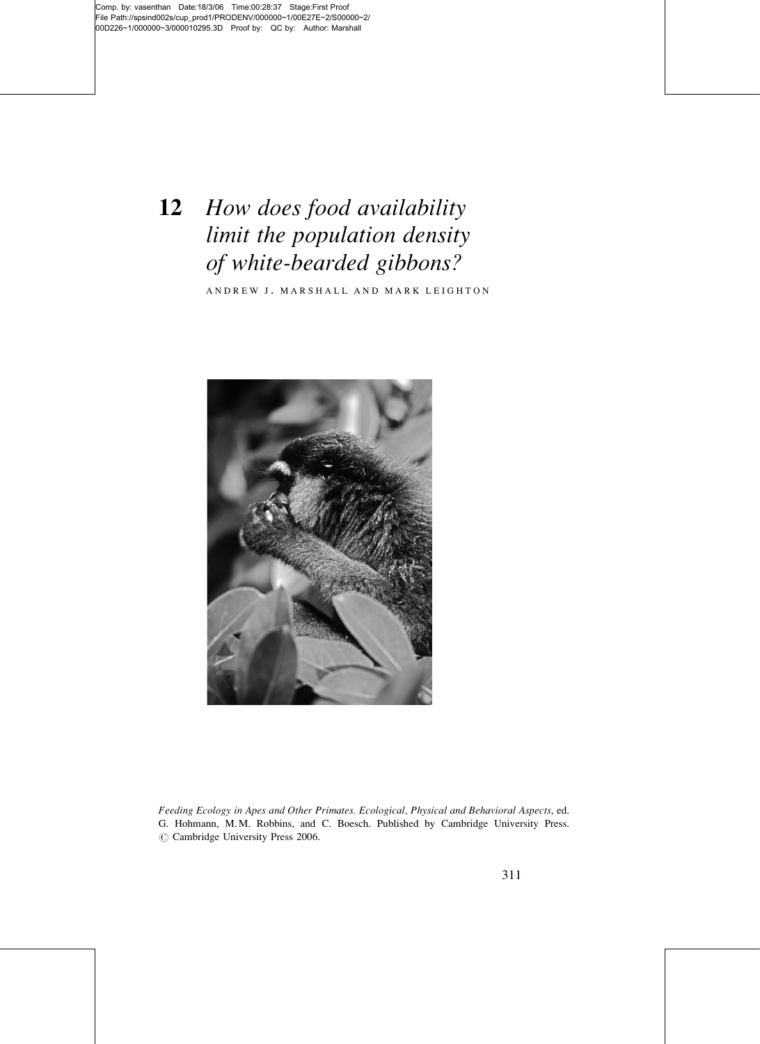# 12 How does food availability limit the population density of white-bearded gibbons?

ANDREW J. MARSHALL AND MARK LEIGHTON



Feeding Ecology in Apes and Other Primates. Ecological, Physical and Behavioral Aspects, ed. G. Hohmann, M. M. Robbins, and C. Boesch. Published by Cambridge University Press.  $\circ$  Cambridge University Press 2006.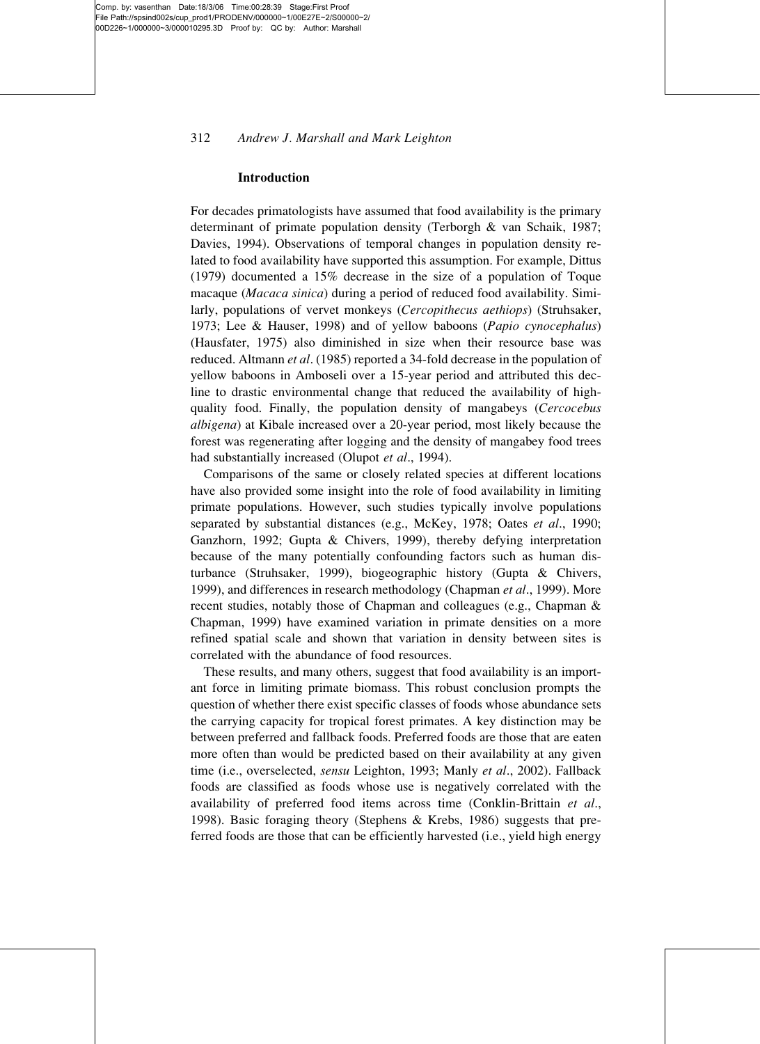# 312 Andrew J. Marshall and Mark Leighton

#### Introduction

For decades primatologists have assumed that food availability is the primary determinant of primate population density (Terborgh & van Schaik, 1987; Davies, 1994). Observations of temporal changes in population density related to food availability have supported this assumption. For example, Dittus (1979) documented a 15% decrease in the size of a population of Toque macaque (Macaca sinica) during a period of reduced food availability. Similarly, populations of vervet monkeys (Cercopithecus aethiops) (Struhsaker, 1973; Lee & Hauser, 1998) and of yellow baboons (Papio cynocephalus) (Hausfater, 1975) also diminished in size when their resource base was reduced. Altmann et al. (1985) reported a 34-fold decrease in the population of yellow baboons in Amboseli over a 15-year period and attributed this decline to drastic environmental change that reduced the availability of highquality food. Finally, the population density of mangabeys (Cercocebus albigena) at Kibale increased over a 20-year period, most likely because the forest was regenerating after logging and the density of mangabey food trees had substantially increased (Olupot et al., 1994).

Comparisons of the same or closely related species at different locations have also provided some insight into the role of food availability in limiting primate populations. However, such studies typically involve populations separated by substantial distances (e.g., McKey, 1978; Oates et al., 1990; Ganzhorn, 1992; Gupta & Chivers, 1999), thereby defying interpretation because of the many potentially confounding factors such as human disturbance (Struhsaker, 1999), biogeographic history (Gupta & Chivers, 1999), and differences in research methodology (Chapman et al., 1999). More recent studies, notably those of Chapman and colleagues (e.g., Chapman & Chapman, 1999) have examined variation in primate densities on a more refined spatial scale and shown that variation in density between sites is correlated with the abundance of food resources.

These results, and many others, suggest that food availability is an important force in limiting primate biomass. This robust conclusion prompts the question of whether there exist specific classes of foods whose abundance sets the carrying capacity for tropical forest primates. A key distinction may be between preferred and fallback foods. Preferred foods are those that are eaten more often than would be predicted based on their availability at any given time (i.e., overselected, sensu Leighton, 1993; Manly et al., 2002). Fallback foods are classified as foods whose use is negatively correlated with the availability of preferred food items across time (Conklin-Brittain et al., 1998). Basic foraging theory (Stephens & Krebs, 1986) suggests that preferred foods are those that can be efficiently harvested (i.e., yield high energy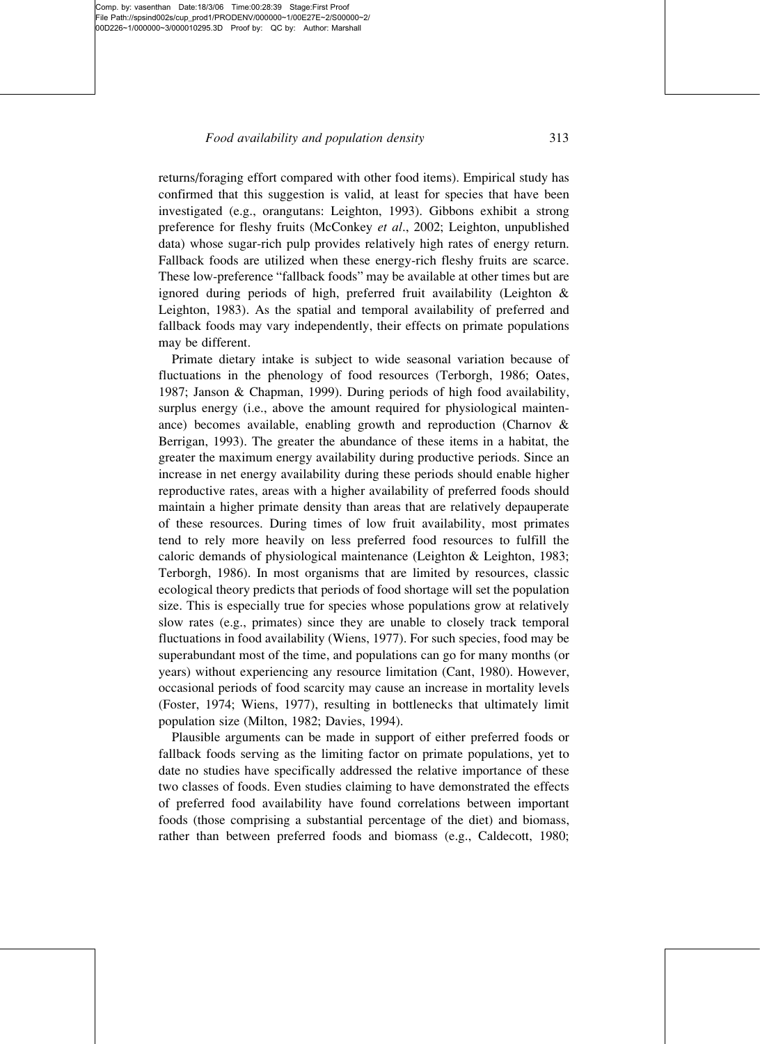### Food availability and population density 313

returns/foraging effort compared with other food items). Empirical study has confirmed that this suggestion is valid, at least for species that have been investigated (e.g., orangutans: Leighton, 1993). Gibbons exhibit a strong preference for fleshy fruits (McConkey et al., 2002; Leighton, unpublished data) whose sugar-rich pulp provides relatively high rates of energy return. Fallback foods are utilized when these energy-rich fleshy fruits are scarce. These low-preference "fallback foods" may be available at other times but are ignored during periods of high, preferred fruit availability (Leighton & Leighton, 1983). As the spatial and temporal availability of preferred and fallback foods may vary independently, their effects on primate populations may be different.

Primate dietary intake is subject to wide seasonal variation because of fluctuations in the phenology of food resources (Terborgh, 1986; Oates, 1987; Janson & Chapman, 1999). During periods of high food availability, surplus energy (i.e., above the amount required for physiological maintenance) becomes available, enabling growth and reproduction (Charnov & Berrigan, 1993). The greater the abundance of these items in a habitat, the greater the maximum energy availability during productive periods. Since an increase in net energy availability during these periods should enable higher reproductive rates, areas with a higher availability of preferred foods should maintain a higher primate density than areas that are relatively depauperate of these resources. During times of low fruit availability, most primates tend to rely more heavily on less preferred food resources to fulfill the caloric demands of physiological maintenance (Leighton & Leighton, 1983; Terborgh, 1986). In most organisms that are limited by resources, classic ecological theory predicts that periods of food shortage will set the population size. This is especially true for species whose populations grow at relatively slow rates (e.g., primates) since they are unable to closely track temporal fluctuations in food availability (Wiens, 1977). For such species, food may be superabundant most of the time, and populations can go for many months (or years) without experiencing any resource limitation (Cant, 1980). However, occasional periods of food scarcity may cause an increase in mortality levels (Foster, 1974; Wiens, 1977), resulting in bottlenecks that ultimately limit population size (Milton, 1982; Davies, 1994).

Plausible arguments can be made in support of either preferred foods or fallback foods serving as the limiting factor on primate populations, yet to date no studies have specifically addressed the relative importance of these two classes of foods. Even studies claiming to have demonstrated the effects of preferred food availability have found correlations between important foods (those comprising a substantial percentage of the diet) and biomass, rather than between preferred foods and biomass (e.g., Caldecott, 1980;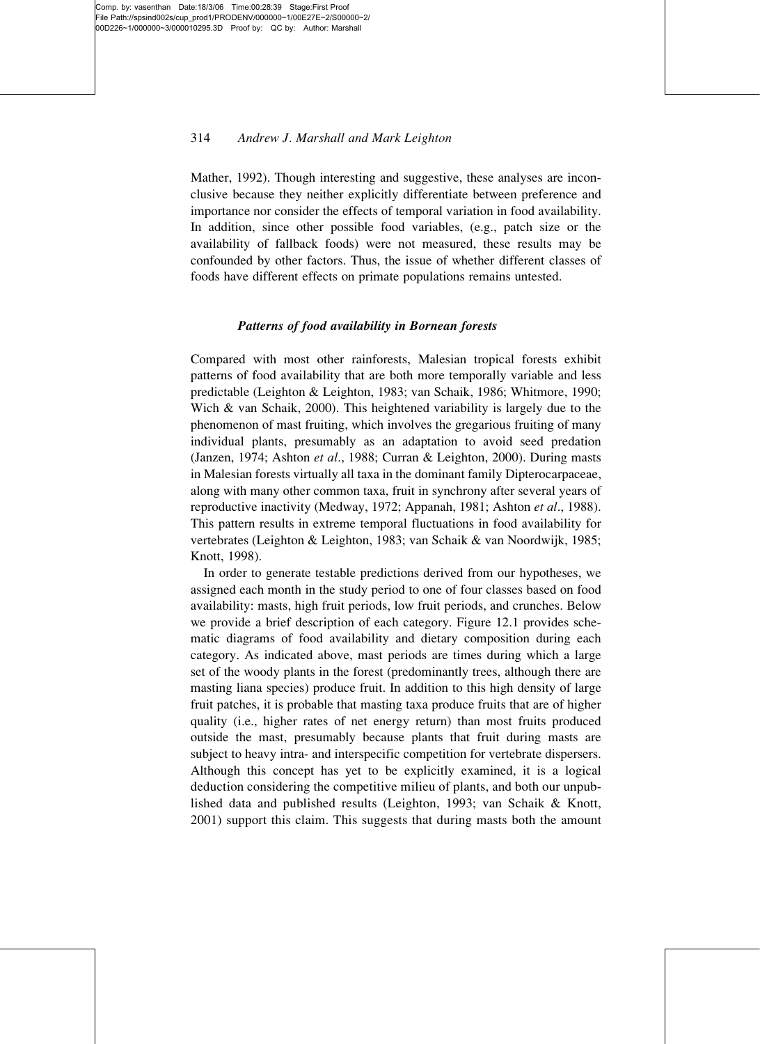# 314 Andrew J. Marshall and Mark Leighton

Mather, 1992). Though interesting and suggestive, these analyses are inconclusive because they neither explicitly differentiate between preference and importance nor consider the effects of temporal variation in food availability. In addition, since other possible food variables, (e.g., patch size or the availability of fallback foods) were not measured, these results may be confounded by other factors. Thus, the issue of whether different classes of foods have different effects on primate populations remains untested.

# Patterns of food availability in Bornean forests

Compared with most other rainforests, Malesian tropical forests exhibit patterns of food availability that are both more temporally variable and less predictable (Leighton & Leighton, 1983; van Schaik, 1986; Whitmore, 1990; Wich & van Schaik, 2000). This heightened variability is largely due to the phenomenon of mast fruiting, which involves the gregarious fruiting of many individual plants, presumably as an adaptation to avoid seed predation (Janzen, 1974; Ashton et al., 1988; Curran & Leighton, 2000). During masts in Malesian forests virtually all taxa in the dominant family Dipterocarpaceae, along with many other common taxa, fruit in synchrony after several years of reproductive inactivity (Medway, 1972; Appanah, 1981; Ashton et al., 1988). This pattern results in extreme temporal fluctuations in food availability for vertebrates (Leighton & Leighton, 1983; van Schaik & van Noordwijk, 1985; Knott, 1998).

In order to generate testable predictions derived from our hypotheses, we assigned each month in the study period to one of four classes based on food availability: masts, high fruit periods, low fruit periods, and crunches. Below we provide a brief description of each category. Figure 12.1 provides schematic diagrams of food availability and dietary composition during each category. As indicated above, mast periods are times during which a large set of the woody plants in the forest (predominantly trees, although there are masting liana species) produce fruit. In addition to this high density of large fruit patches, it is probable that masting taxa produce fruits that are of higher quality (i.e., higher rates of net energy return) than most fruits produced outside the mast, presumably because plants that fruit during masts are subject to heavy intra- and interspecific competition for vertebrate dispersers. Although this concept has yet to be explicitly examined, it is a logical deduction considering the competitive milieu of plants, and both our unpublished data and published results (Leighton, 1993; van Schaik & Knott, 2001) support this claim. This suggests that during masts both the amount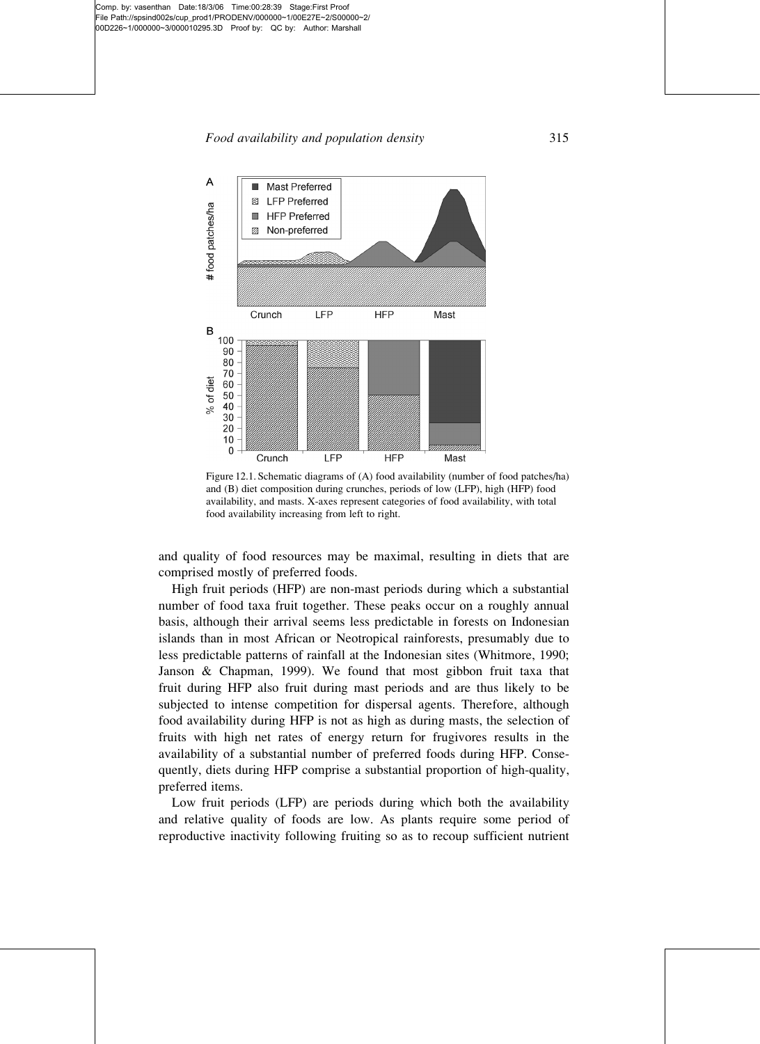

Figure 12.1. Schematic diagrams of (A) food availability (number of food patches/ha) and (B) diet composition during crunches, periods of low (LFP), high (HFP) food availability, and masts. X-axes represent categories of food availability, with total food availability increasing from left to right.

and quality of food resources may be maximal, resulting in diets that are comprised mostly of preferred foods.

High fruit periods (HFP) are non-mast periods during which a substantial number of food taxa fruit together. These peaks occur on a roughly annual basis, although their arrival seems less predictable in forests on Indonesian islands than in most African or Neotropical rainforests, presumably due to less predictable patterns of rainfall at the Indonesian sites (Whitmore, 1990; Janson & Chapman, 1999). We found that most gibbon fruit taxa that fruit during HFP also fruit during mast periods and are thus likely to be subjected to intense competition for dispersal agents. Therefore, although food availability during HFP is not as high as during masts, the selection of fruits with high net rates of energy return for frugivores results in the availability of a substantial number of preferred foods during HFP. Consequently, diets during HFP comprise a substantial proportion of high-quality, preferred items.

Low fruit periods (LFP) are periods during which both the availability and relative quality of foods are low. As plants require some period of reproductive inactivity following fruiting so as to recoup sufficient nutrient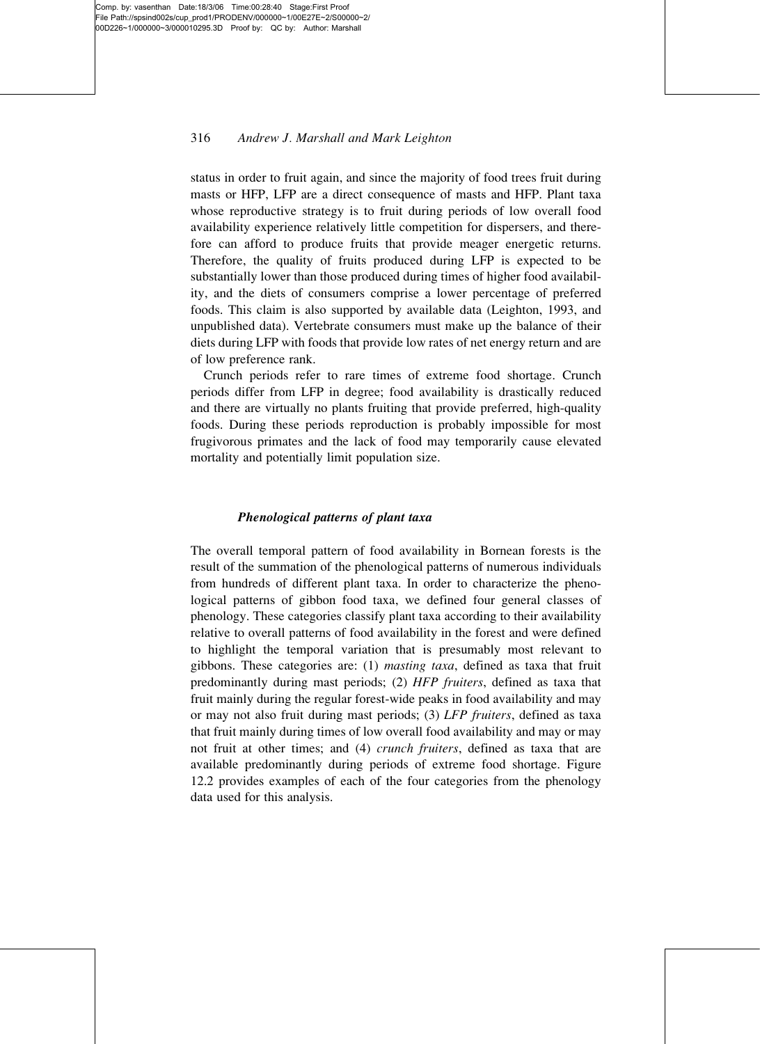# 316 Andrew J. Marshall and Mark Leighton

status in order to fruit again, and since the majority of food trees fruit during masts or HFP, LFP are a direct consequence of masts and HFP. Plant taxa whose reproductive strategy is to fruit during periods of low overall food availability experience relatively little competition for dispersers, and therefore can afford to produce fruits that provide meager energetic returns. Therefore, the quality of fruits produced during LFP is expected to be substantially lower than those produced during times of higher food availability, and the diets of consumers comprise a lower percentage of preferred foods. This claim is also supported by available data (Leighton, 1993, and unpublished data). Vertebrate consumers must make up the balance of their diets during LFP with foods that provide low rates of net energy return and are of low preference rank.

Crunch periods refer to rare times of extreme food shortage. Crunch periods differ from LFP in degree; food availability is drastically reduced and there are virtually no plants fruiting that provide preferred, high-quality foods. During these periods reproduction is probably impossible for most frugivorous primates and the lack of food may temporarily cause elevated mortality and potentially limit population size.

#### Phenological patterns of plant taxa

The overall temporal pattern of food availability in Bornean forests is the result of the summation of the phenological patterns of numerous individuals from hundreds of different plant taxa. In order to characterize the phenological patterns of gibbon food taxa, we defined four general classes of phenology. These categories classify plant taxa according to their availability relative to overall patterns of food availability in the forest and were defined to highlight the temporal variation that is presumably most relevant to gibbons. These categories are: (1) masting taxa, defined as taxa that fruit predominantly during mast periods; (2) HFP fruiters, defined as taxa that fruit mainly during the regular forest-wide peaks in food availability and may or may not also fruit during mast periods; (3) LFP fruiters, defined as taxa that fruit mainly during times of low overall food availability and may or may not fruit at other times; and (4) crunch fruiters, defined as taxa that are available predominantly during periods of extreme food shortage. Figure 12.2 provides examples of each of the four categories from the phenology data used for this analysis.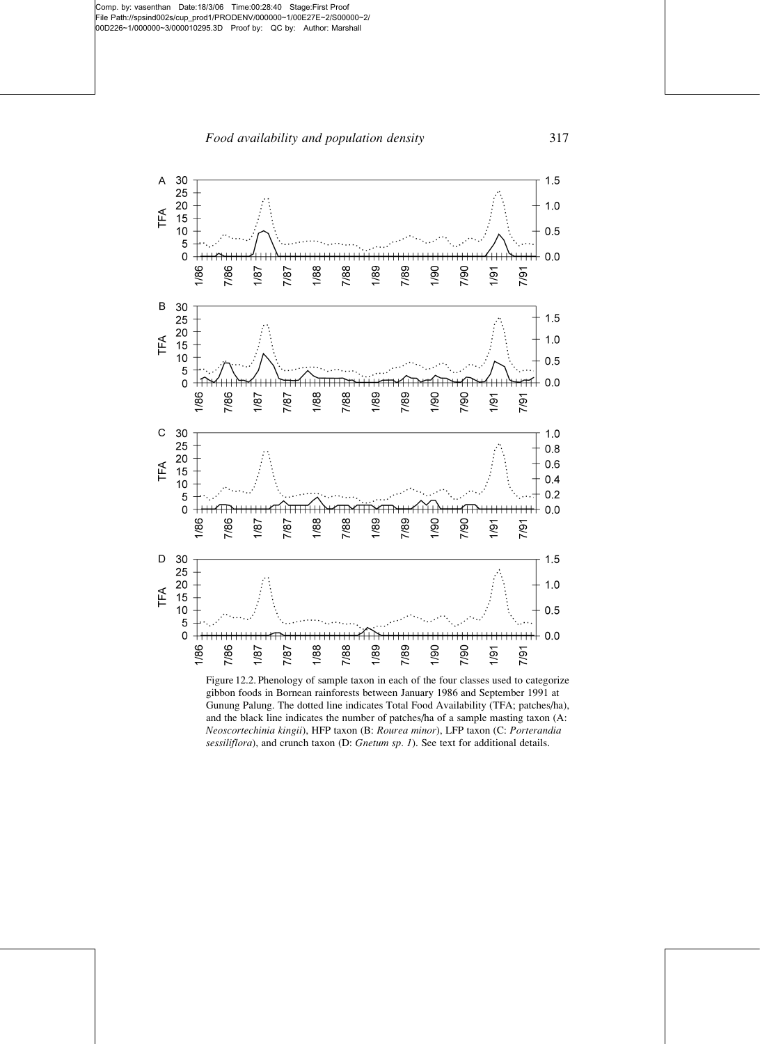Food availability and population density 317



Figure 12.2. Phenology of sample taxon in each of the four classes used to categorize gibbon foods in Bornean rainforests between January 1986 and September 1991 at Gunung Palung. The dotted line indicates Total Food Availability (TFA; patches/ha), and the black line indicates the number of patches/ha of a sample masting taxon (A: Neoscortechinia kingii), HFP taxon (B: Rourea minor), LFP taxon (C: Porterandia sessiliflora), and crunch taxon (D: Gnetum sp. 1). See text for additional details.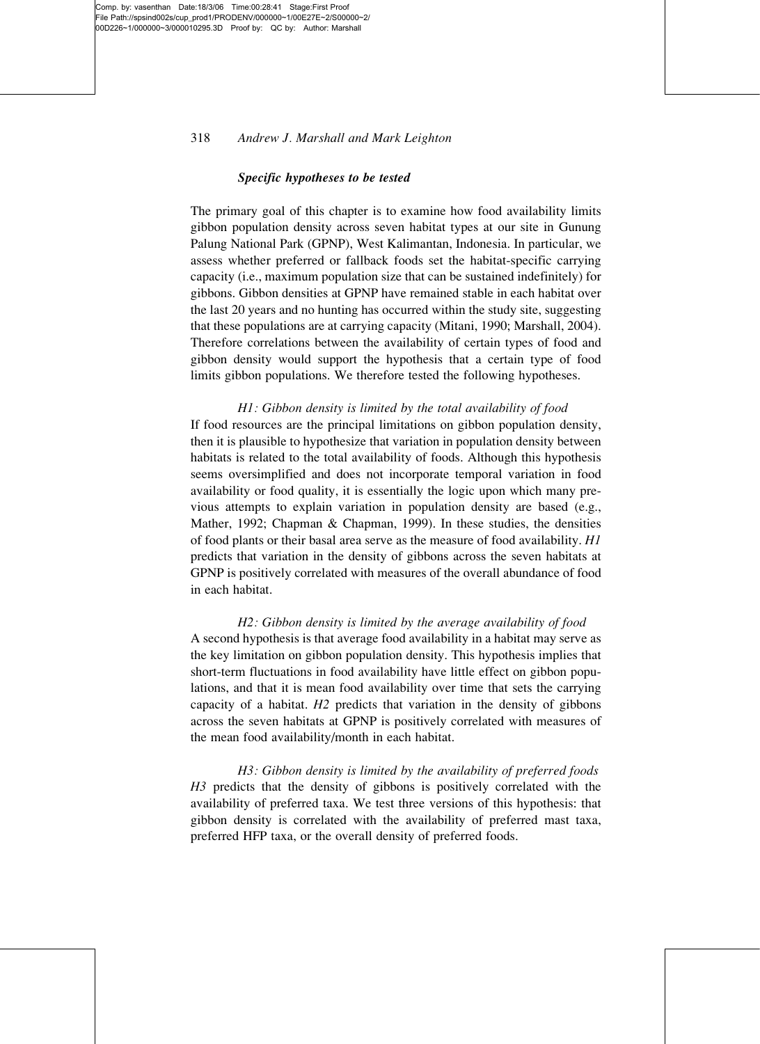# 318 Andrew J. Marshall and Mark Leighton

#### Specific hypotheses to be tested

The primary goal of this chapter is to examine how food availability limits gibbon population density across seven habitat types at our site in Gunung Palung National Park (GPNP), West Kalimantan, Indonesia. In particular, we assess whether preferred or fallback foods set the habitat-specific carrying capacity (i.e., maximum population size that can be sustained indefinitely) for gibbons. Gibbon densities at GPNP have remained stable in each habitat over the last 20 years and no hunting has occurred within the study site, suggesting that these populations are at carrying capacity (Mitani, 1990; Marshall, 2004). Therefore correlations between the availability of certain types of food and gibbon density would support the hypothesis that a certain type of food limits gibbon populations. We therefore tested the following hypotheses.

H1: Gibbon density is limited by the total availability of food If food resources are the principal limitations on gibbon population density, then it is plausible to hypothesize that variation in population density between habitats is related to the total availability of foods. Although this hypothesis seems oversimplified and does not incorporate temporal variation in food availability or food quality, it is essentially the logic upon which many previous attempts to explain variation in population density are based (e.g., Mather, 1992; Chapman & Chapman, 1999). In these studies, the densities of food plants or their basal area serve as the measure of food availability. H1 predicts that variation in the density of gibbons across the seven habitats at GPNP is positively correlated with measures of the overall abundance of food in each habitat.

H2: Gibbon density is limited by the average availability of food A second hypothesis is that average food availability in a habitat may serve as the key limitation on gibbon population density. This hypothesis implies that short-term fluctuations in food availability have little effect on gibbon populations, and that it is mean food availability over time that sets the carrying capacity of a habitat.  $H2$  predicts that variation in the density of gibbons across the seven habitats at GPNP is positively correlated with measures of the mean food availability/month in each habitat.

H3: Gibbon density is limited by the availability of preferred foods H3 predicts that the density of gibbons is positively correlated with the availability of preferred taxa. We test three versions of this hypothesis: that gibbon density is correlated with the availability of preferred mast taxa, preferred HFP taxa, or the overall density of preferred foods.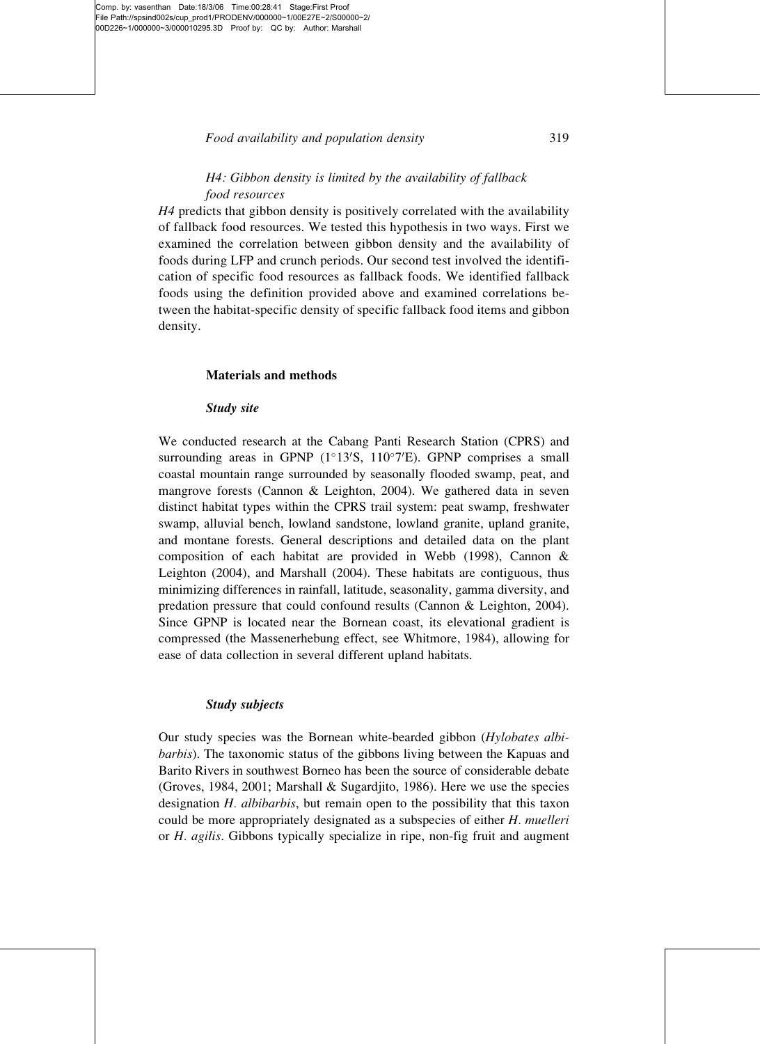# H4: Gibbon density is limited by the availability of fallback food resources

H4 predicts that gibbon density is positively correlated with the availability of fallback food resources. We tested this hypothesis in two ways. First we examined the correlation between gibbon density and the availability of foods during LFP and crunch periods. Our second test involved the identification of specific food resources as fallback foods. We identified fallback foods using the definition provided above and examined correlations between the habitat-specific density of specific fallback food items and gibbon density.

#### Materials and methods

#### Study site

We conducted research at the Cabang Panti Research Station (CPRS) and surrounding areas in GPNP  $(1^{\circ}13'S, 110^{\circ}7'E)$ . GPNP comprises a small coastal mountain range surrounded by seasonally flooded swamp, peat, and mangrove forests (Cannon & Leighton, 2004). We gathered data in seven distinct habitat types within the CPRS trail system: peat swamp, freshwater swamp, alluvial bench, lowland sandstone, lowland granite, upland granite, and montane forests. General descriptions and detailed data on the plant composition of each habitat are provided in Webb (1998), Cannon & Leighton (2004), and Marshall (2004). These habitats are contiguous, thus minimizing differences in rainfall, latitude, seasonality, gamma diversity, and predation pressure that could confound results (Cannon & Leighton, 2004). Since GPNP is located near the Bornean coast, its elevational gradient is compressed (the Massenerhebung effect, see Whitmore, 1984), allowing for ease of data collection in several different upland habitats.

#### Study subjects

Our study species was the Bornean white-bearded gibbon (Hylobates albibarbis). The taxonomic status of the gibbons living between the Kapuas and Barito Rivers in southwest Borneo has been the source of considerable debate (Groves, 1984, 2001; Marshall & Sugardjito, 1986). Here we use the species designation  $H$ . *albibarbis*, but remain open to the possibility that this taxon could be more appropriately designated as a subspecies of either H. muelleri or H. agilis. Gibbons typically specialize in ripe, non-fig fruit and augment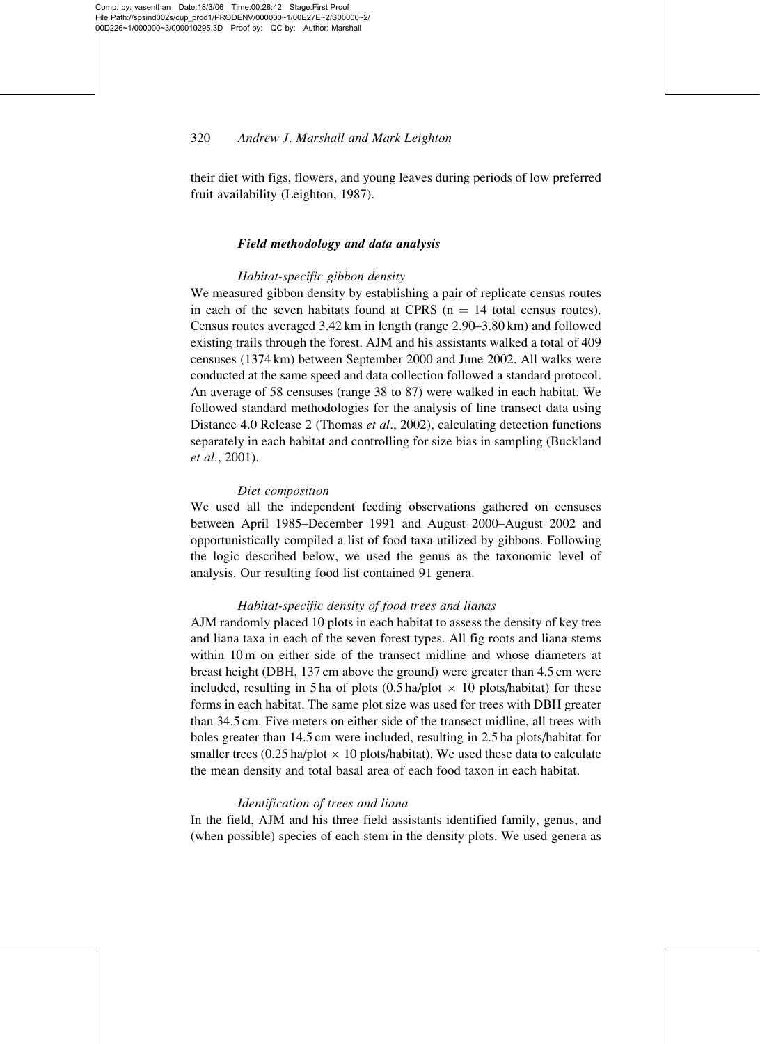# 320 Andrew J. Marshall and Mark Leighton

their diet with figs, flowers, and young leaves during periods of low preferred fruit availability (Leighton, 1987).

# Field methodology and data analysis

#### Habitat-specific gibbon density

We measured gibbon density by establishing a pair of replicate census routes in each of the seven habitats found at CPRS  $(n = 14$  total census routes). Census routes averaged 3.42 km in length (range 2.90–3.80 km) and followed existing trails through the forest. AJM and his assistants walked a total of 409 censuses (1374 km) between September 2000 and June 2002. All walks were conducted at the same speed and data collection followed a standard protocol. An average of 58 censuses (range 38 to 87) were walked in each habitat. We followed standard methodologies for the analysis of line transect data using Distance 4.0 Release 2 (Thomas et al., 2002), calculating detection functions separately in each habitat and controlling for size bias in sampling (Buckland et al., 2001).

#### Diet composition

We used all the independent feeding observations gathered on censuses between April 1985–December 1991 and August 2000–August 2002 and opportunistically compiled a list of food taxa utilized by gibbons. Following the logic described below, we used the genus as the taxonomic level of analysis. Our resulting food list contained 91 genera.

### Habitat-specific density of food trees and lianas

AJM randomly placed 10 plots in each habitat to assess the density of key tree and liana taxa in each of the seven forest types. All fig roots and liana stems within 10 m on either side of the transect midline and whose diameters at breast height (DBH, 137 cm above the ground) were greater than 4.5 cm were included, resulting in 5 ha of plots  $(0.5 \text{ ha}/\text{plot} \times 10 \text{ plots}/\text{habitat})$  for these forms in each habitat. The same plot size was used for trees with DBH greater than 34.5 cm. Five meters on either side of the transect midline, all trees with boles greater than 14.5 cm were included, resulting in 2.5 ha plots/habitat for smaller trees (0.25 ha/plot  $\times$  10 plots/habitat). We used these data to calculate the mean density and total basal area of each food taxon in each habitat.

#### Identification of trees and liana

In the field, AJM and his three field assistants identified family, genus, and (when possible) species of each stem in the density plots. We used genera as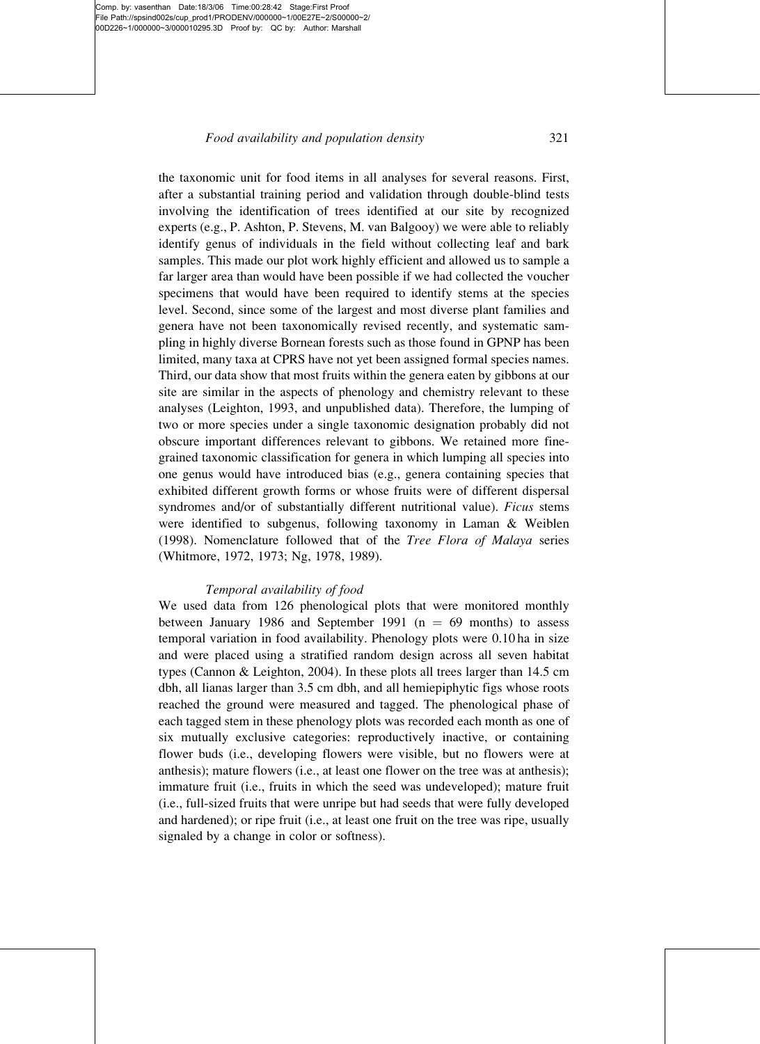# Food availability and population density 321

the taxonomic unit for food items in all analyses for several reasons. First, after a substantial training period and validation through double-blind tests involving the identification of trees identified at our site by recognized experts (e.g., P. Ashton, P. Stevens, M. van Balgooy) we were able to reliably identify genus of individuals in the field without collecting leaf and bark samples. This made our plot work highly efficient and allowed us to sample a far larger area than would have been possible if we had collected the voucher specimens that would have been required to identify stems at the species level. Second, since some of the largest and most diverse plant families and genera have not been taxonomically revised recently, and systematic sampling in highly diverse Bornean forests such as those found in GPNP has been limited, many taxa at CPRS have not yet been assigned formal species names. Third, our data show that most fruits within the genera eaten by gibbons at our site are similar in the aspects of phenology and chemistry relevant to these analyses (Leighton, 1993, and unpublished data). Therefore, the lumping of two or more species under a single taxonomic designation probably did not obscure important differences relevant to gibbons. We retained more finegrained taxonomic classification for genera in which lumping all species into one genus would have introduced bias (e.g., genera containing species that exhibited different growth forms or whose fruits were of different dispersal syndromes and/or of substantially different nutritional value). Ficus stems were identified to subgenus, following taxonomy in Laman & Weiblen (1998). Nomenclature followed that of the Tree Flora of Malaya series (Whitmore, 1972, 1973; Ng, 1978, 1989).

### Temporal availability of food

We used data from 126 phenological plots that were monitored monthly between January 1986 and September 1991 ( $n = 69$  months) to assess temporal variation in food availability. Phenology plots were 0.10 ha in size and were placed using a stratified random design across all seven habitat types (Cannon & Leighton, 2004). In these plots all trees larger than 14.5 cm dbh, all lianas larger than 3.5 cm dbh, and all hemiepiphytic figs whose roots reached the ground were measured and tagged. The phenological phase of each tagged stem in these phenology plots was recorded each month as one of six mutually exclusive categories: reproductively inactive, or containing flower buds (i.e., developing flowers were visible, but no flowers were at anthesis); mature flowers (i.e., at least one flower on the tree was at anthesis); immature fruit (i.e., fruits in which the seed was undeveloped); mature fruit (i.e., full-sized fruits that were unripe but had seeds that were fully developed and hardened); or ripe fruit (i.e., at least one fruit on the tree was ripe, usually signaled by a change in color or softness).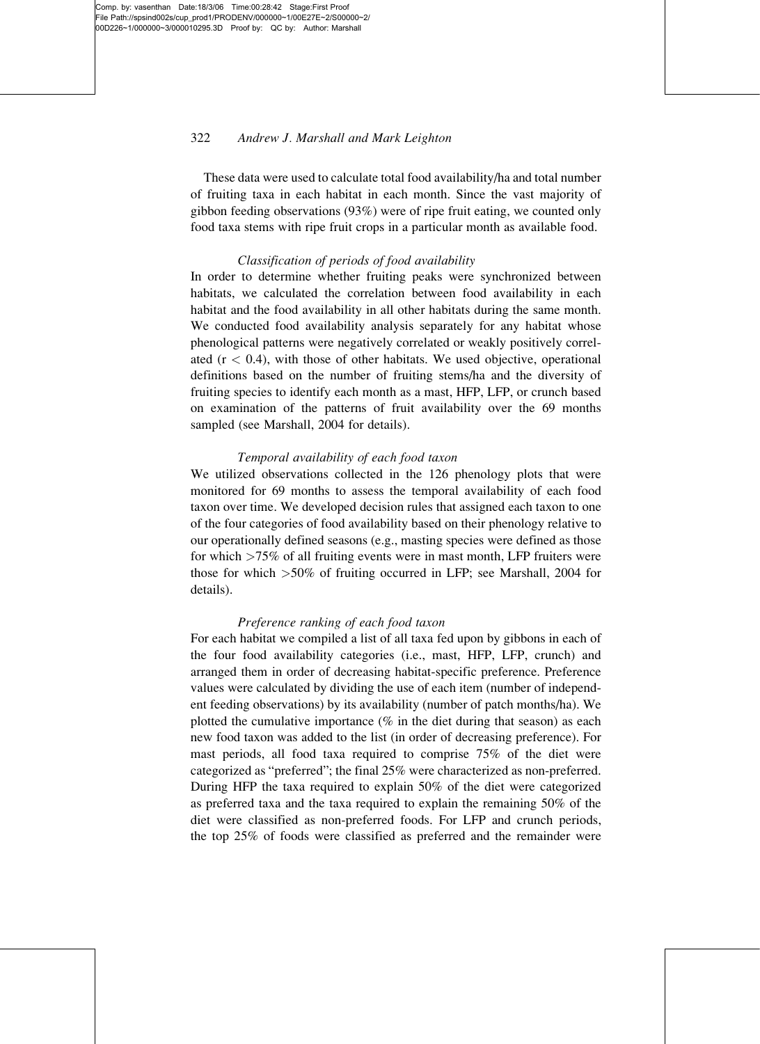# 322 Andrew J. Marshall and Mark Leighton

These data were used to calculate total food availability/ha and total number of fruiting taxa in each habitat in each month. Since the vast majority of gibbon feeding observations (93%) were of ripe fruit eating, we counted only food taxa stems with ripe fruit crops in a particular month as available food.

#### Classification of periods of food availability

In order to determine whether fruiting peaks were synchronized between habitats, we calculated the correlation between food availability in each habitat and the food availability in all other habitats during the same month. We conducted food availability analysis separately for any habitat whose phenological patterns were negatively correlated or weakly positively correlated  $(r < 0.4)$ , with those of other habitats. We used objective, operational definitions based on the number of fruiting stems/ha and the diversity of fruiting species to identify each month as a mast, HFP, LFP, or crunch based on examination of the patterns of fruit availability over the 69 months sampled (see Marshall, 2004 for details).

### Temporal availability of each food taxon

We utilized observations collected in the 126 phenology plots that were monitored for 69 months to assess the temporal availability of each food taxon over time. We developed decision rules that assigned each taxon to one of the four categories of food availability based on their phenology relative to our operationally defined seasons (e.g., masting species were defined as those for which >75% of all fruiting events were in mast month, LFP fruiters were those for which >50% of fruiting occurred in LFP; see Marshall, 2004 for details).

### Preference ranking of each food taxon

For each habitat we compiled a list of all taxa fed upon by gibbons in each of the four food availability categories (i.e., mast, HFP, LFP, crunch) and arranged them in order of decreasing habitat-specific preference. Preference values were calculated by dividing the use of each item (number of independent feeding observations) by its availability (number of patch months/ha). We plotted the cumulative importance  $(\%$  in the diet during that season) as each new food taxon was added to the list (in order of decreasing preference). For mast periods, all food taxa required to comprise 75% of the diet were categorized as "preferred"; the final 25% were characterized as non-preferred. During HFP the taxa required to explain 50% of the diet were categorized as preferred taxa and the taxa required to explain the remaining 50% of the diet were classified as non-preferred foods. For LFP and crunch periods, the top 25% of foods were classified as preferred and the remainder were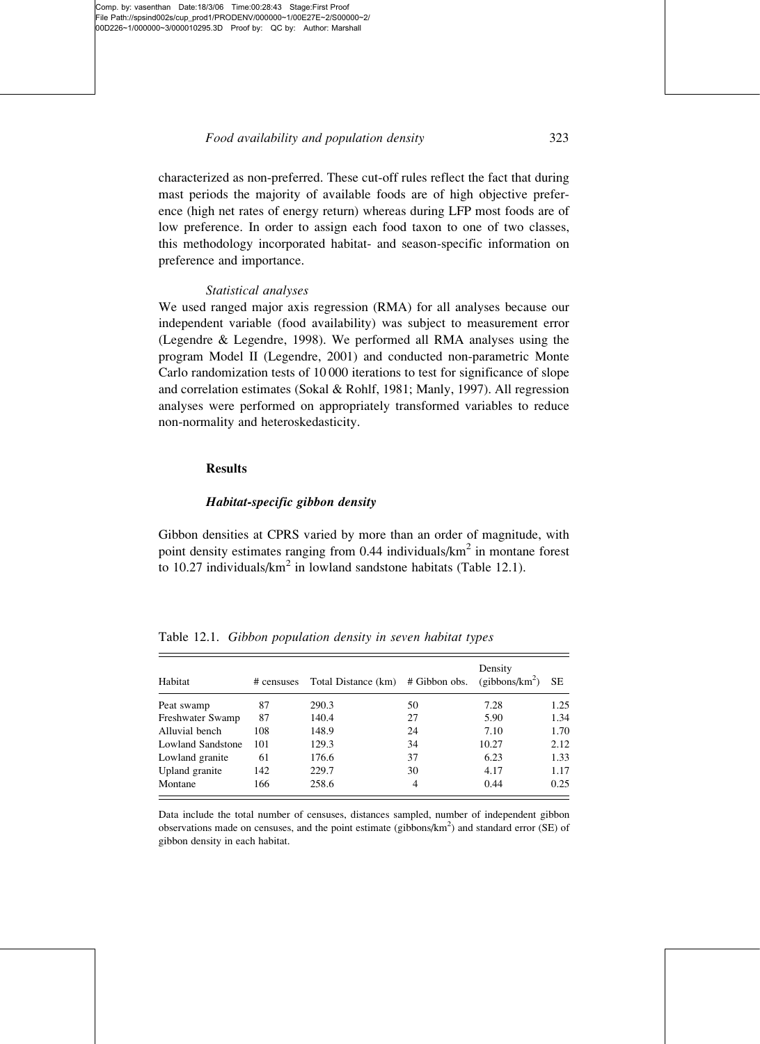characterized as non-preferred. These cut-off rules reflect the fact that during mast periods the majority of available foods are of high objective preference (high net rates of energy return) whereas during LFP most foods are of low preference. In order to assign each food taxon to one of two classes, this methodology incorporated habitat- and season-specific information on preference and importance.

#### Statistical analyses

We used ranged major axis regression (RMA) for all analyses because our independent variable (food availability) was subject to measurement error (Legendre & Legendre, 1998). We performed all RMA analyses using the program Model II (Legendre, 2001) and conducted non-parametric Monte Carlo randomization tests of 10 000 iterations to test for significance of slope and correlation estimates (Sokal & Rohlf, 1981; Manly, 1997). All regression analyses were performed on appropriately transformed variables to reduce non-normality and heteroskedasticity.

#### Results

# Habitat-specific gibbon density

Gibbon densities at CPRS varied by more than an order of magnitude, with point density estimates ranging from 0.44 individuals/km<sup>2</sup> in montane forest to 10.27 individuals/ $km^2$  in lowland sandstone habitats (Table 12.1).

| Table 12.1. Gibbon population density in seven habitat types |  |  |  |  |  |  |
|--------------------------------------------------------------|--|--|--|--|--|--|
|--------------------------------------------------------------|--|--|--|--|--|--|

| Habitat                  | # censuses | Total Distance (km) | # Gibbon obs. | Density<br>(gibbons/km <sup>2</sup> ) | <b>SE</b> |
|--------------------------|------------|---------------------|---------------|---------------------------------------|-----------|
| Peat swamp               | 87         | 290.3               | 50            | 7.28                                  | 1.25      |
| Freshwater Swamp         | 87         | 140.4               | 27            | 5.90                                  | 1.34      |
| Alluvial bench           | 108        | 148.9               | 24            | 7.10                                  | 1.70      |
| <b>Lowland Sandstone</b> | 101        | 129.3               | 34            | 10.27                                 | 2.12      |
| Lowland granite          | 61         | 176.6               | 37            | 6.23                                  | 1.33      |
| Upland granite           | 142        | 229.7               | 30            | 4.17                                  | 1.17      |
| Montane                  | 166        | 258.6               | 4             | 0.44                                  | 0.25      |

Data include the total number of censuses, distances sampled, number of independent gibbon observations made on censuses, and the point estimate (gibbons/ $km<sup>2</sup>$ ) and standard error (SE) of gibbon density in each habitat.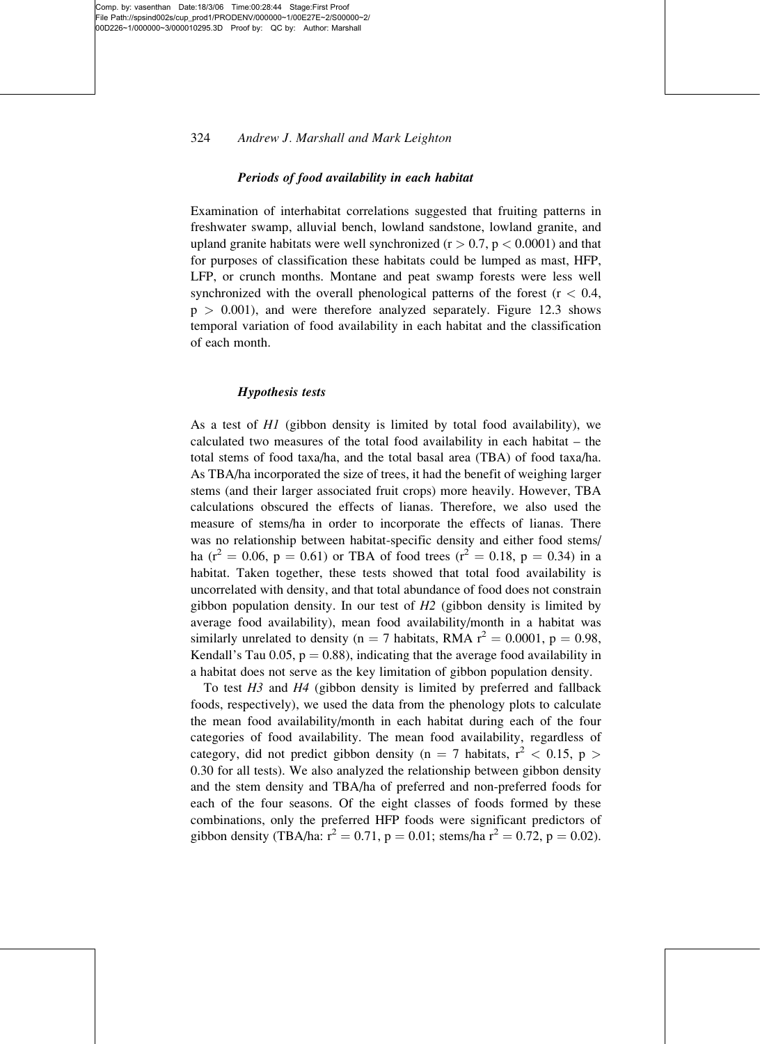# 324 Andrew J. Marshall and Mark Leighton

#### Periods of food availability in each habitat

Examination of interhabitat correlations suggested that fruiting patterns in freshwater swamp, alluvial bench, lowland sandstone, lowland granite, and upland granite habitats were well synchronized ( $r > 0.7$ ,  $p < 0.0001$ ) and that for purposes of classification these habitats could be lumped as mast, HFP, LFP, or crunch months. Montane and peat swamp forests were less well synchronized with the overall phenological patterns of the forest  $(r < 0.4,$  $p > 0.001$ , and were therefore analyzed separately. Figure 12.3 shows temporal variation of food availability in each habitat and the classification of each month.

#### Hypothesis tests

As a test of H1 (gibbon density is limited by total food availability), we calculated two measures of the total food availability in each habitat – the total stems of food taxa/ha, and the total basal area (TBA) of food taxa/ha. As TBA/ha incorporated the size of trees, it had the benefit of weighing larger stems (and their larger associated fruit crops) more heavily. However, TBA calculations obscured the effects of lianas. Therefore, we also used the measure of stems/ha in order to incorporate the effects of lianas. There was no relationship between habitat-specific density and either food stems/ ha ( $r^2 = 0.06$ , p = 0.61) or TBA of food trees ( $r^2 = 0.18$ , p = 0.34) in a habitat. Taken together, these tests showed that total food availability is uncorrelated with density, and that total abundance of food does not constrain gibbon population density. In our test of  $H2$  (gibbon density is limited by average food availability), mean food availability/month in a habitat was similarly unrelated to density (n = 7 habitats, RMA  $r^2 = 0.0001$ , p = 0.98, Kendall's Tau 0.05,  $p = 0.88$ ), indicating that the average food availability in a habitat does not serve as the key limitation of gibbon population density.

To test  $H_3$  and  $H_4$  (gibbon density is limited by preferred and fallback foods, respectively), we used the data from the phenology plots to calculate the mean food availability/month in each habitat during each of the four categories of food availability. The mean food availability, regardless of category, did not predict gibbon density (n = 7 habitats,  $r^2$  < 0.15, p > 0.30 for all tests). We also analyzed the relationship between gibbon density and the stem density and TBA/ha of preferred and non-preferred foods for each of the four seasons. Of the eight classes of foods formed by these combinations, only the preferred HFP foods were significant predictors of gibbon density (TBA/ha:  $r^2 = 0.71$ , p = 0.01; stems/ha  $r^2 = 0.72$ , p = 0.02).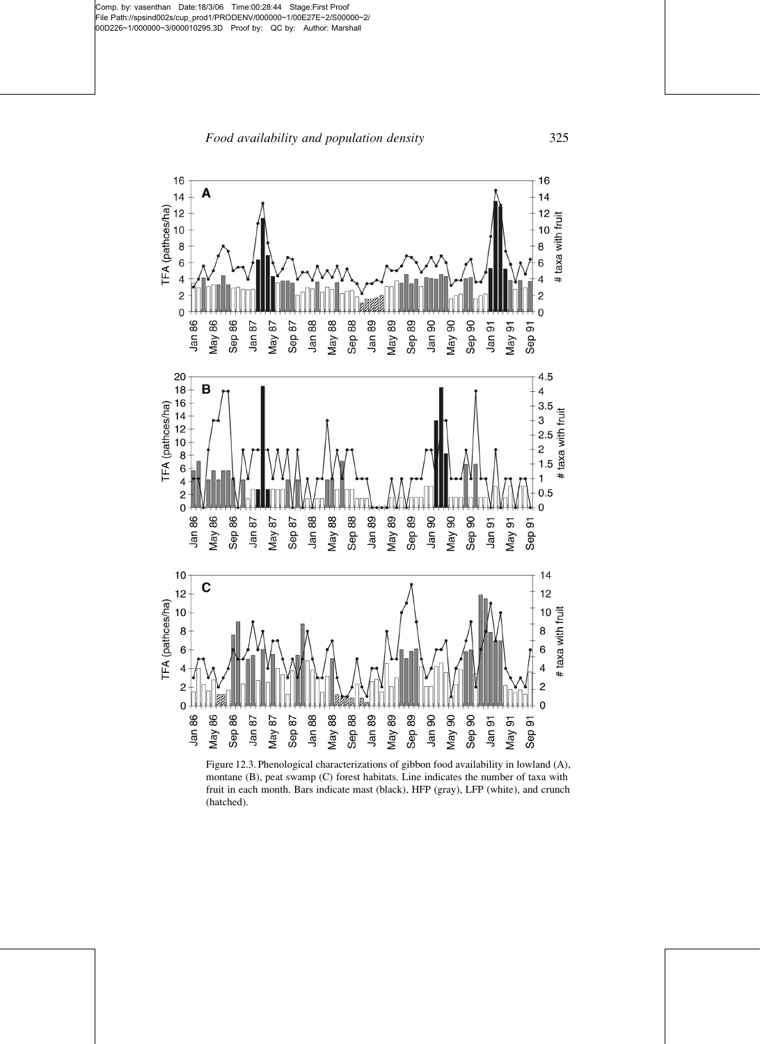Food availability and population density 325



Figure 12.3. Phenological characterizations of gibbon food availability in lowland (A), montane (B), peat swamp (C) forest habitats. Line indicates the number of taxa with fruit in each month. Bars indicate mast (black), HFP (gray), LFP (white), and crunch (hatched).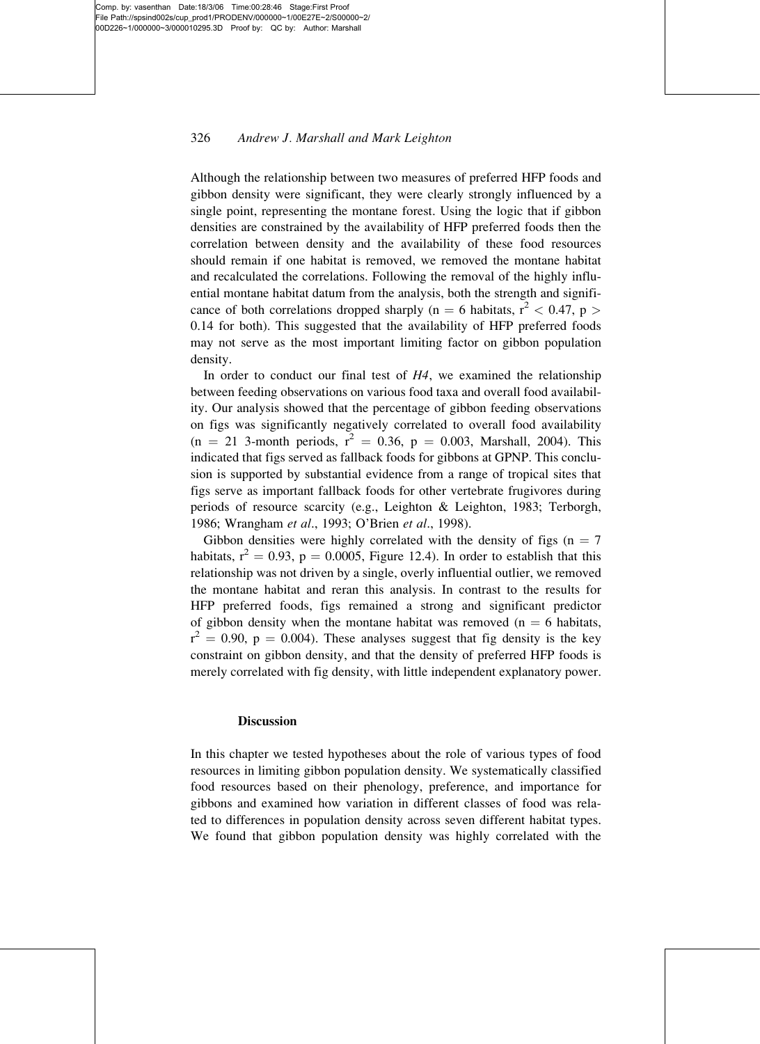# 326 Andrew J. Marshall and Mark Leighton

Although the relationship between two measures of preferred HFP foods and gibbon density were significant, they were clearly strongly influenced by a single point, representing the montane forest. Using the logic that if gibbon densities are constrained by the availability of HFP preferred foods then the correlation between density and the availability of these food resources should remain if one habitat is removed, we removed the montane habitat and recalculated the correlations. Following the removal of the highly influential montane habitat datum from the analysis, both the strength and significance of both correlations dropped sharply (n = 6 habitats,  $r^2$  < 0.47, p > 0.14 for both). This suggested that the availability of HFP preferred foods may not serve as the most important limiting factor on gibbon population density.

In order to conduct our final test of  $H_4$ , we examined the relationship between feeding observations on various food taxa and overall food availability. Our analysis showed that the percentage of gibbon feeding observations on figs was significantly negatively correlated to overall food availability  $(n = 21$  3-month periods,  $r^2 = 0.36$ ,  $p = 0.003$ , Marshall, 2004). This indicated that figs served as fallback foods for gibbons at GPNP. This conclusion is supported by substantial evidence from a range of tropical sites that figs serve as important fallback foods for other vertebrate frugivores during periods of resource scarcity (e.g., Leighton & Leighton, 1983; Terborgh, 1986; Wrangham et al., 1993; O'Brien et al., 1998).

Gibbon densities were highly correlated with the density of figs ( $n = 7$ ) habitats,  $r^2 = 0.93$ , p = 0.0005, Figure 12.4). In order to establish that this relationship was not driven by a single, overly influential outlier, we removed the montane habitat and reran this analysis. In contrast to the results for HFP preferred foods, figs remained a strong and significant predictor of gibbon density when the montane habitat was removed ( $n = 6$  habitats,  $r^2 = 0.90$ ,  $p = 0.004$ ). These analyses suggest that fig density is the key constraint on gibbon density, and that the density of preferred HFP foods is merely correlated with fig density, with little independent explanatory power.

#### **Discussion**

In this chapter we tested hypotheses about the role of various types of food resources in limiting gibbon population density. We systematically classified food resources based on their phenology, preference, and importance for gibbons and examined how variation in different classes of food was related to differences in population density across seven different habitat types. We found that gibbon population density was highly correlated with the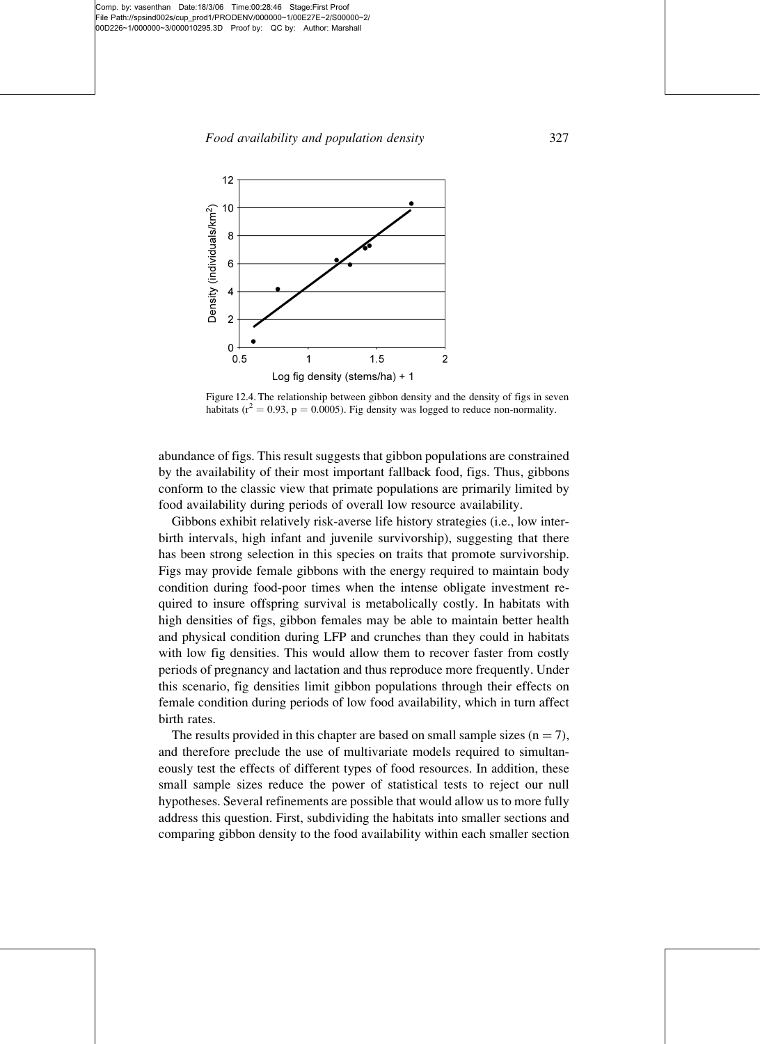

Figure 12.4. The relationship between gibbon density and the density of figs in seven habitats ( $r^2 = 0.93$ ,  $p = 0.0005$ ). Fig density was logged to reduce non-normality.

abundance of figs. This result suggests that gibbon populations are constrained by the availability of their most important fallback food, figs. Thus, gibbons conform to the classic view that primate populations are primarily limited by food availability during periods of overall low resource availability.

Gibbons exhibit relatively risk-averse life history strategies (i.e., low interbirth intervals, high infant and juvenile survivorship), suggesting that there has been strong selection in this species on traits that promote survivorship. Figs may provide female gibbons with the energy required to maintain body condition during food-poor times when the intense obligate investment required to insure offspring survival is metabolically costly. In habitats with high densities of figs, gibbon females may be able to maintain better health and physical condition during LFP and crunches than they could in habitats with low fig densities. This would allow them to recover faster from costly periods of pregnancy and lactation and thus reproduce more frequently. Under this scenario, fig densities limit gibbon populations through their effects on female condition during periods of low food availability, which in turn affect birth rates.

The results provided in this chapter are based on small sample sizes  $(n = 7)$ , and therefore preclude the use of multivariate models required to simultaneously test the effects of different types of food resources. In addition, these small sample sizes reduce the power of statistical tests to reject our null hypotheses. Several refinements are possible that would allow us to more fully address this question. First, subdividing the habitats into smaller sections and comparing gibbon density to the food availability within each smaller section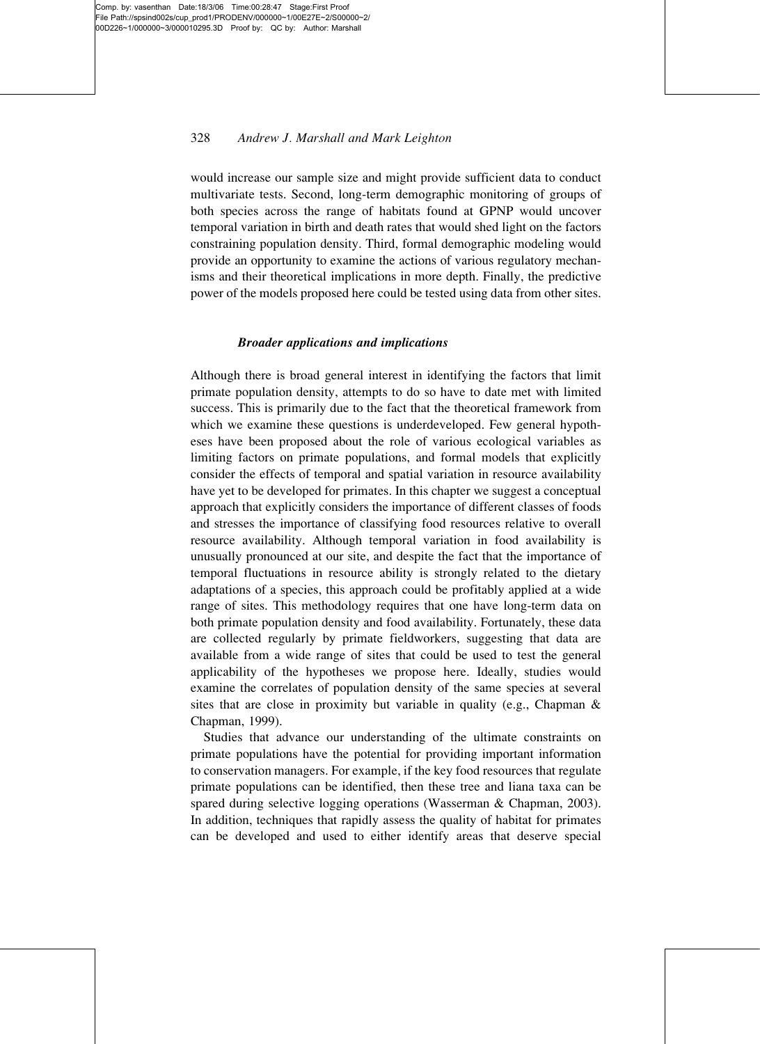# 328 Andrew J. Marshall and Mark Leighton

would increase our sample size and might provide sufficient data to conduct multivariate tests. Second, long-term demographic monitoring of groups of both species across the range of habitats found at GPNP would uncover temporal variation in birth and death rates that would shed light on the factors constraining population density. Third, formal demographic modeling would provide an opportunity to examine the actions of various regulatory mechanisms and their theoretical implications in more depth. Finally, the predictive power of the models proposed here could be tested using data from other sites.

### Broader applications and implications

Although there is broad general interest in identifying the factors that limit primate population density, attempts to do so have to date met with limited success. This is primarily due to the fact that the theoretical framework from which we examine these questions is underdeveloped. Few general hypotheses have been proposed about the role of various ecological variables as limiting factors on primate populations, and formal models that explicitly consider the effects of temporal and spatial variation in resource availability have yet to be developed for primates. In this chapter we suggest a conceptual approach that explicitly considers the importance of different classes of foods and stresses the importance of classifying food resources relative to overall resource availability. Although temporal variation in food availability is unusually pronounced at our site, and despite the fact that the importance of temporal fluctuations in resource ability is strongly related to the dietary adaptations of a species, this approach could be profitably applied at a wide range of sites. This methodology requires that one have long-term data on both primate population density and food availability. Fortunately, these data are collected regularly by primate fieldworkers, suggesting that data are available from a wide range of sites that could be used to test the general applicability of the hypotheses we propose here. Ideally, studies would examine the correlates of population density of the same species at several sites that are close in proximity but variable in quality (e.g., Chapman & Chapman, 1999).

Studies that advance our understanding of the ultimate constraints on primate populations have the potential for providing important information to conservation managers. For example, if the key food resources that regulate primate populations can be identified, then these tree and liana taxa can be spared during selective logging operations (Wasserman & Chapman, 2003). In addition, techniques that rapidly assess the quality of habitat for primates can be developed and used to either identify areas that deserve special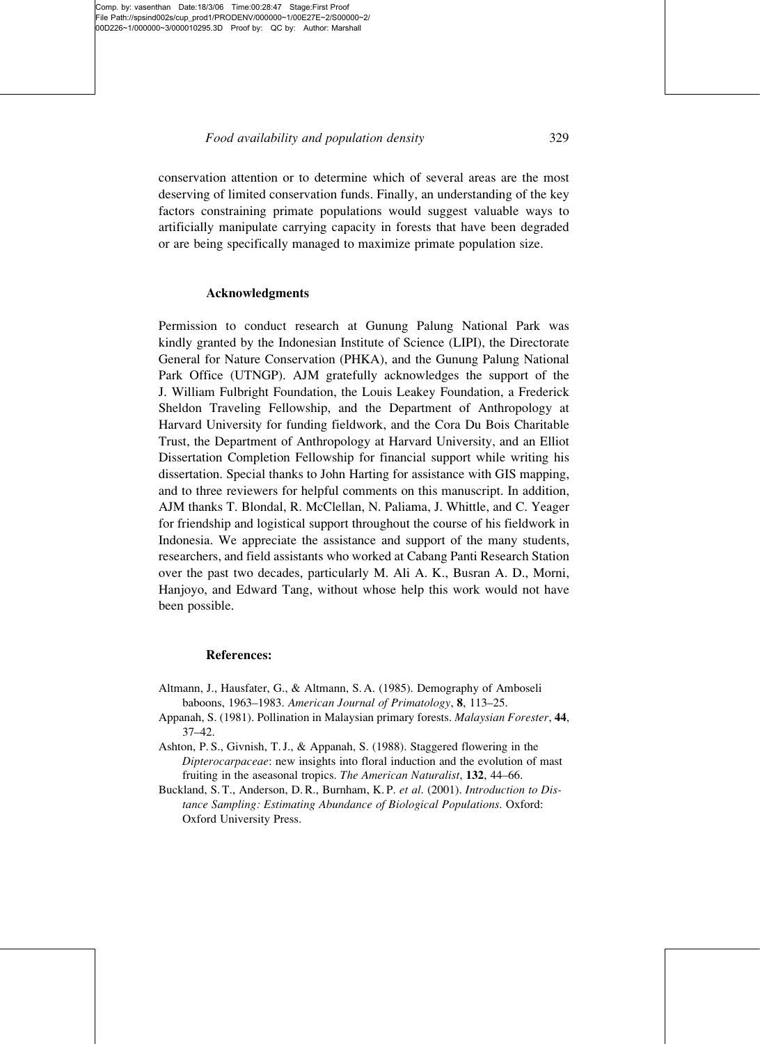conservation attention or to determine which of several areas are the most deserving of limited conservation funds. Finally, an understanding of the key factors constraining primate populations would suggest valuable ways to artificially manipulate carrying capacity in forests that have been degraded or are being specifically managed to maximize primate population size.

# Acknowledgments

Permission to conduct research at Gunung Palung National Park was kindly granted by the Indonesian Institute of Science (LIPI), the Directorate General for Nature Conservation (PHKA), and the Gunung Palung National Park Office (UTNGP). AJM gratefully acknowledges the support of the J. William Fulbright Foundation, the Louis Leakey Foundation, a Frederick Sheldon Traveling Fellowship, and the Department of Anthropology at Harvard University for funding fieldwork, and the Cora Du Bois Charitable Trust, the Department of Anthropology at Harvard University, and an Elliot Dissertation Completion Fellowship for financial support while writing his dissertation. Special thanks to John Harting for assistance with GIS mapping, and to three reviewers for helpful comments on this manuscript. In addition, AJM thanks T. Blondal, R. McClellan, N. Paliama, J. Whittle, and C. Yeager for friendship and logistical support throughout the course of his fieldwork in Indonesia. We appreciate the assistance and support of the many students, researchers, and field assistants who worked at Cabang Panti Research Station over the past two decades, particularly M. Ali A. K., Busran A. D., Morni, Hanjoyo, and Edward Tang, without whose help this work would not have been possible.

# References:

- Altmann, J., Hausfater, G., & Altmann, S. A. (1985). Demography of Amboseli baboons, 1963–1983. American Journal of Primatology, 8, 113–25.
- Appanah, S. (1981). Pollination in Malaysian primary forests. Malaysian Forester, 44, 37–42.
- Ashton, P. S., Givnish, T. J., & Appanah, S. (1988). Staggered flowering in the Dipterocarpaceae: new insights into floral induction and the evolution of mast fruiting in the aseasonal tropics. The American Naturalist, 132, 44–66.
- Buckland, S. T., Anderson, D. R., Burnham, K. P. et al. (2001). Introduction to Distance Sampling: Estimating Abundance of Biological Populations. Oxford: Oxford University Press.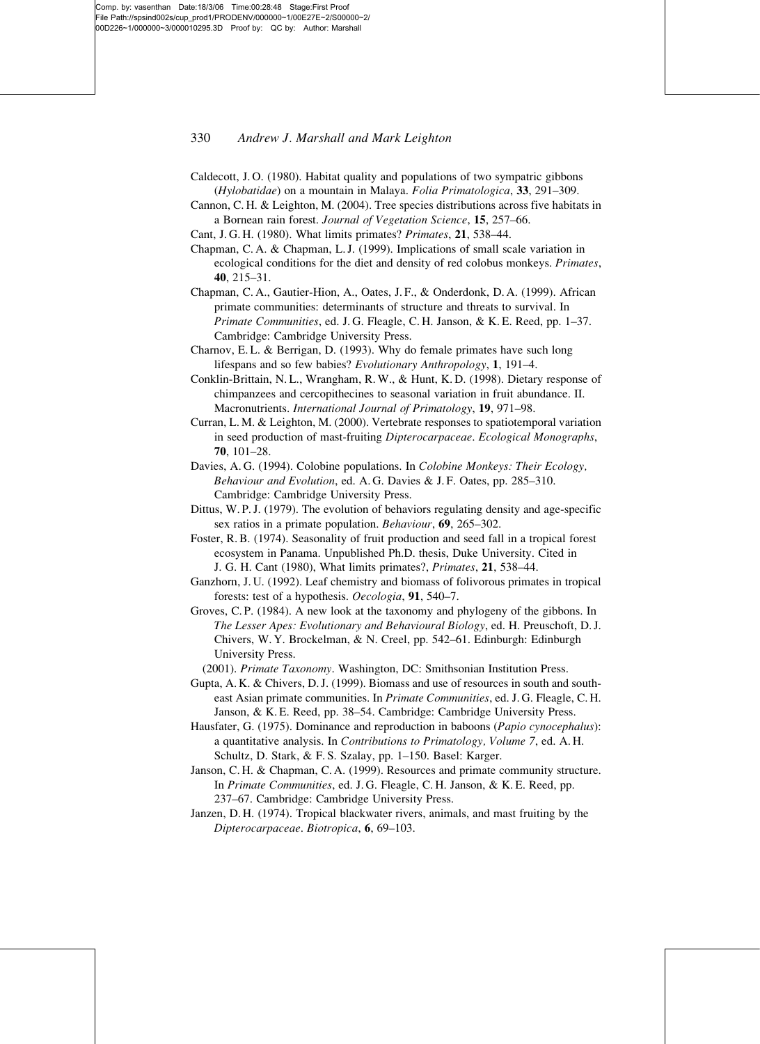#### 330 Andrew J. Marshall and Mark Leighton

- Caldecott, J. O. (1980). Habitat quality and populations of two sympatric gibbons (Hylobatidae) on a mountain in Malaya. Folia Primatologica, 33, 291–309.
- Cannon, C. H. & Leighton, M. (2004). Tree species distributions across five habitats in a Bornean rain forest. Journal of Vegetation Science, 15, 257–66.
- Cant, J. G. H. (1980). What limits primates? Primates, 21, 538–44.
- Chapman, C. A. & Chapman, L. J. (1999). Implications of small scale variation in ecological conditions for the diet and density of red colobus monkeys. Primates, 40, 215–31.
- Chapman, C. A., Gautier-Hion, A., Oates, J. F., & Onderdonk, D. A. (1999). African primate communities: determinants of structure and threats to survival. In Primate Communities, ed. J. G. Fleagle, C. H. Janson, & K. E. Reed, pp. 1–37. Cambridge: Cambridge University Press.
- Charnov, E. L. & Berrigan, D. (1993). Why do female primates have such long lifespans and so few babies? Evolutionary Anthropology, 1, 191–4.
- Conklin-Brittain, N. L., Wrangham, R. W., & Hunt, K. D. (1998). Dietary response of chimpanzees and cercopithecines to seasonal variation in fruit abundance. II. Macronutrients. International Journal of Primatology, 19, 971–98.
- Curran, L. M. & Leighton, M. (2000). Vertebrate responses to spatiotemporal variation in seed production of mast-fruiting Dipterocarpaceae. Ecological Monographs, 70, 101–28.
- Davies, A. G. (1994). Colobine populations. In Colobine Monkeys: Their Ecology, Behaviour and Evolution, ed. A. G. Davies & J. F. Oates, pp. 285–310. Cambridge: Cambridge University Press.
- Dittus, W. P. J. (1979). The evolution of behaviors regulating density and age-specific sex ratios in a primate population. Behaviour, 69, 265–302.
- Foster, R. B. (1974). Seasonality of fruit production and seed fall in a tropical forest ecosystem in Panama. Unpublished Ph.D. thesis, Duke University. Cited in J. G. H. Cant (1980), What limits primates?, Primates, 21, 538–44.
- Ganzhorn, J. U. (1992). Leaf chemistry and biomass of folivorous primates in tropical forests: test of a hypothesis. Oecologia, 91, 540–7.
- Groves, C. P. (1984). A new look at the taxonomy and phylogeny of the gibbons. In The Lesser Apes: Evolutionary and Behavioural Biology, ed. H. Preuschoft, D. J. Chivers, W. Y. Brockelman, & N. Creel, pp. 542–61. Edinburgh: Edinburgh University Press.
	- (2001). Primate Taxonomy. Washington, DC: Smithsonian Institution Press.
- Gupta, A. K. & Chivers, D. J. (1999). Biomass and use of resources in south and southeast Asian primate communities. In Primate Communities, ed. J. G. Fleagle, C. H. Janson, & K. E. Reed, pp. 38–54. Cambridge: Cambridge University Press.
- Hausfater, G. (1975). Dominance and reproduction in baboons (Papio cynocephalus): a quantitative analysis. In Contributions to Primatology, Volume 7, ed. A. H. Schultz, D. Stark, & F. S. Szalay, pp. 1–150. Basel: Karger.
- Janson, C. H. & Chapman, C. A. (1999). Resources and primate community structure. In Primate Communities, ed. J. G. Fleagle, C. H. Janson, & K. E. Reed, pp. 237–67. Cambridge: Cambridge University Press.
- Janzen, D. H. (1974). Tropical blackwater rivers, animals, and mast fruiting by the Dipterocarpaceae. Biotropica, 6, 69–103.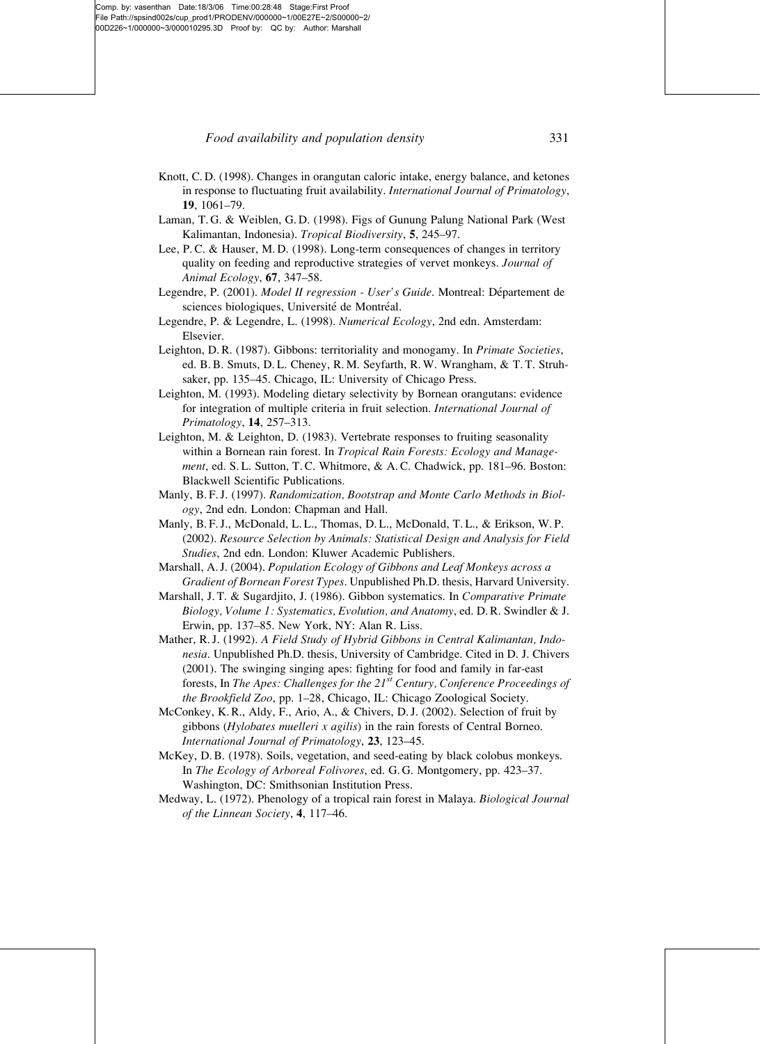#### Food availability and population density 331

- Knott, C. D. (1998). Changes in orangutan caloric intake, energy balance, and ketones in response to fluctuating fruit availability. International Journal of Primatology, 19, 1061–79.
- Laman, T. G. & Weiblen, G. D. (1998). Figs of Gunung Palung National Park (West Kalimantan, Indonesia). Tropical Biodiversity, 5, 245–97.
- Lee, P. C. & Hauser, M. D. (1998). Long-term consequences of changes in territory quality on feeding and reproductive strategies of vervet monkeys. Journal of Animal Ecology, 67, 347–58.
- Legendre, P. (2001). Model II regression User's Guide. Montreal: Département de sciences biologiques, Université de Montréal.
- Legendre, P. & Legendre, L. (1998). Numerical Ecology, 2nd edn. Amsterdam: Elsevier.
- Leighton, D. R. (1987). Gibbons: territoriality and monogamy. In Primate Societies, ed. B. B. Smuts, D. L. Cheney, R. M. Seyfarth, R. W. Wrangham, & T. T. Struhsaker, pp. 135–45. Chicago, IL: University of Chicago Press.
- Leighton, M. (1993). Modeling dietary selectivity by Bornean orangutans: evidence for integration of multiple criteria in fruit selection. International Journal of Primatology, 14, 257–313.
- Leighton, M. & Leighton, D. (1983). Vertebrate responses to fruiting seasonality within a Bornean rain forest. In Tropical Rain Forests: Ecology and Management, ed. S. L. Sutton, T. C. Whitmore, & A. C. Chadwick, pp. 181-96. Boston: Blackwell Scientific Publications.
- Manly, B. F. J. (1997). Randomization, Bootstrap and Monte Carlo Methods in Biology, 2nd edn. London: Chapman and Hall.
- Manly, B. F. J., McDonald, L. L., Thomas, D. L., McDonald, T. L., & Erikson, W. P. (2002). Resource Selection by Animals: Statistical Design and Analysis for Field Studies, 2nd edn. London: Kluwer Academic Publishers.
- Marshall, A. J. (2004). Population Ecology of Gibbons and Leaf Monkeys across a Gradient of Bornean Forest Types. Unpublished Ph.D. thesis, Harvard University.
- Marshall, J. T. & Sugardjito, J. (1986). Gibbon systematics. In Comparative Primate Biology, Volume 1: Systematics, Evolution, and Anatomy, ed. D. R. Swindler & J. Erwin, pp. 137–85. New York, NY: Alan R. Liss.
- Mather, R. J. (1992). A Field Study of Hybrid Gibbons in Central Kalimantan, Indonesia. Unpublished Ph.D. thesis, University of Cambridge. Cited in D. J. Chivers (2001). The swinging singing apes: fighting for food and family in far-east forests, In The Apes: Challenges for the  $21^{st}$  Century, Conference Proceedings of the Brookfield Zoo, pp. 1–28, Chicago, IL: Chicago Zoological Society.
- McConkey, K. R., Aldy, F., Ario, A., & Chivers, D. J. (2002). Selection of fruit by gibbons (Hylobates muelleri x agilis) in the rain forests of Central Borneo. International Journal of Primatology, 23, 123–45.
- McKey, D. B. (1978). Soils, vegetation, and seed-eating by black colobus monkeys. In The Ecology of Arboreal Folivores, ed. G. G. Montgomery, pp. 423–37. Washington, DC: Smithsonian Institution Press.
- Medway, L. (1972). Phenology of a tropical rain forest in Malaya. Biological Journal of the Linnean Society, 4, 117–46.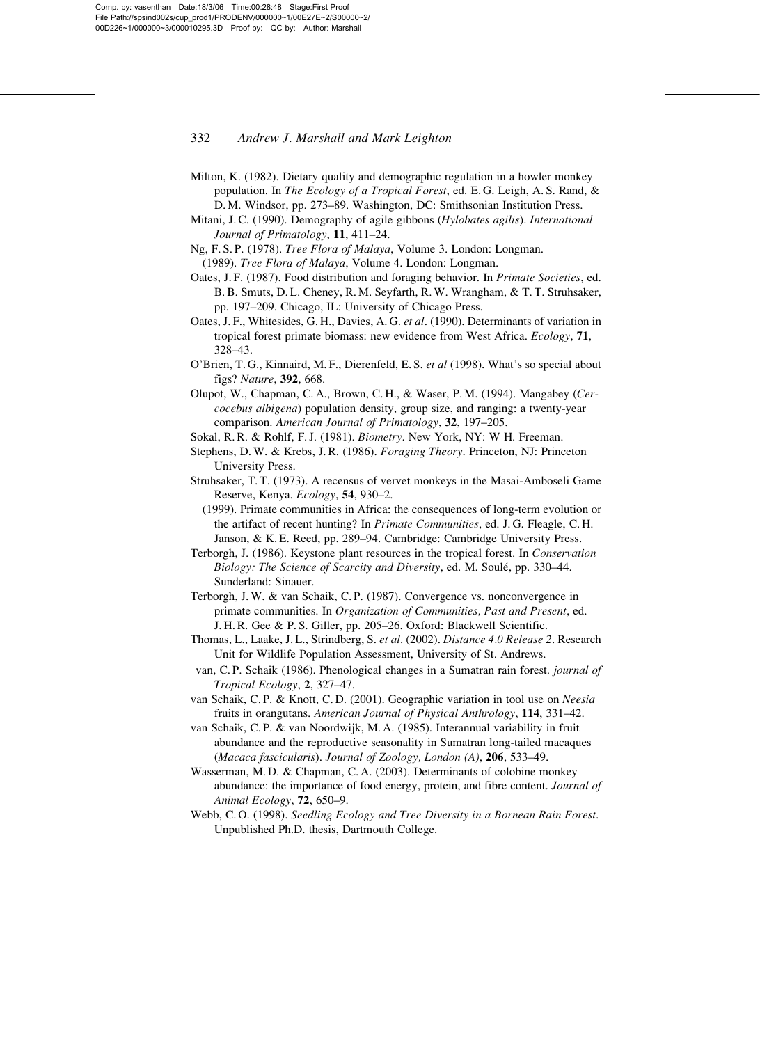### 332 Andrew J. Marshall and Mark Leighton

- Milton, K. (1982). Dietary quality and demographic regulation in a howler monkey population. In The Ecology of a Tropical Forest, ed. E. G. Leigh, A. S. Rand, & D. M. Windsor, pp. 273–89. Washington, DC: Smithsonian Institution Press.
- Mitani, J. C. (1990). Demography of agile gibbons (Hylobates agilis). International Journal of Primatology, 11, 411–24.
- Ng, F. S. P. (1978). Tree Flora of Malaya, Volume 3. London: Longman.

(1989). Tree Flora of Malaya, Volume 4. London: Longman.

- Oates, J. F. (1987). Food distribution and foraging behavior. In Primate Societies, ed. B. B. Smuts, D. L. Cheney, R. M. Seyfarth, R. W. Wrangham, & T. T. Struhsaker, pp. 197–209. Chicago, IL: University of Chicago Press.
- Oates, J. F., Whitesides, G. H., Davies, A. G. et al. (1990). Determinants of variation in tropical forest primate biomass: new evidence from West Africa. Ecology, 71, 328–43.
- O'Brien, T. G., Kinnaird, M. F., Dierenfeld, E. S. et al (1998). What's so special about figs? Nature, 392, 668.
- Olupot, W., Chapman, C. A., Brown, C. H., & Waser, P. M. (1994). Mangabey (Cercocebus albigena) population density, group size, and ranging: a twenty-year comparison. American Journal of Primatology, 32, 197–205.
- Sokal, R. R. & Rohlf, F. J. (1981). Biometry. New York, NY: W H. Freeman.
- Stephens, D. W. & Krebs, J. R. (1986). Foraging Theory. Princeton, NJ: Princeton University Press.
- Struhsaker, T. T. (1973). A recensus of vervet monkeys in the Masai-Amboseli Game Reserve, Kenya. Ecology, 54, 930–2.
- (1999). Primate communities in Africa: the consequences of long-term evolution or the artifact of recent hunting? In Primate Communities, ed. J. G. Fleagle, C. H. Janson, & K. E. Reed, pp. 289–94. Cambridge: Cambridge University Press.
- Terborgh, J. (1986). Keystone plant resources in the tropical forest. In Conservation Biology: The Science of Scarcity and Diversity, ed. M. Soulé, pp. 330-44. Sunderland: Sinauer.
- Terborgh, J. W. & van Schaik, C. P. (1987). Convergence vs. nonconvergence in primate communities. In Organization of Communities, Past and Present, ed. J. H. R. Gee & P. S. Giller, pp. 205–26. Oxford: Blackwell Scientific.
- Thomas, L., Laake, J. L., Strindberg, S. et al. (2002). Distance 4.0 Release 2. Research Unit for Wildlife Population Assessment, University of St. Andrews.
- van, C. P. Schaik (1986). Phenological changes in a Sumatran rain forest. journal of Tropical Ecology, 2, 327–47.
- van Schaik, C. P. & Knott, C. D. (2001). Geographic variation in tool use on Neesia fruits in orangutans. American Journal of Physical Anthrology, 114, 331–42.
- van Schaik, C. P. & van Noordwijk, M. A. (1985). Interannual variability in fruit abundance and the reproductive seasonality in Sumatran long-tailed macaques (Macaca fascicularis). Journal of Zoology, London (A), 206, 533–49.
- Wasserman, M. D. & Chapman, C. A. (2003). Determinants of colobine monkey abundance: the importance of food energy, protein, and fibre content. Journal of Animal Ecology, 72, 650–9.
- Webb, C. O. (1998). Seedling Ecology and Tree Diversity in a Bornean Rain Forest. Unpublished Ph.D. thesis, Dartmouth College.